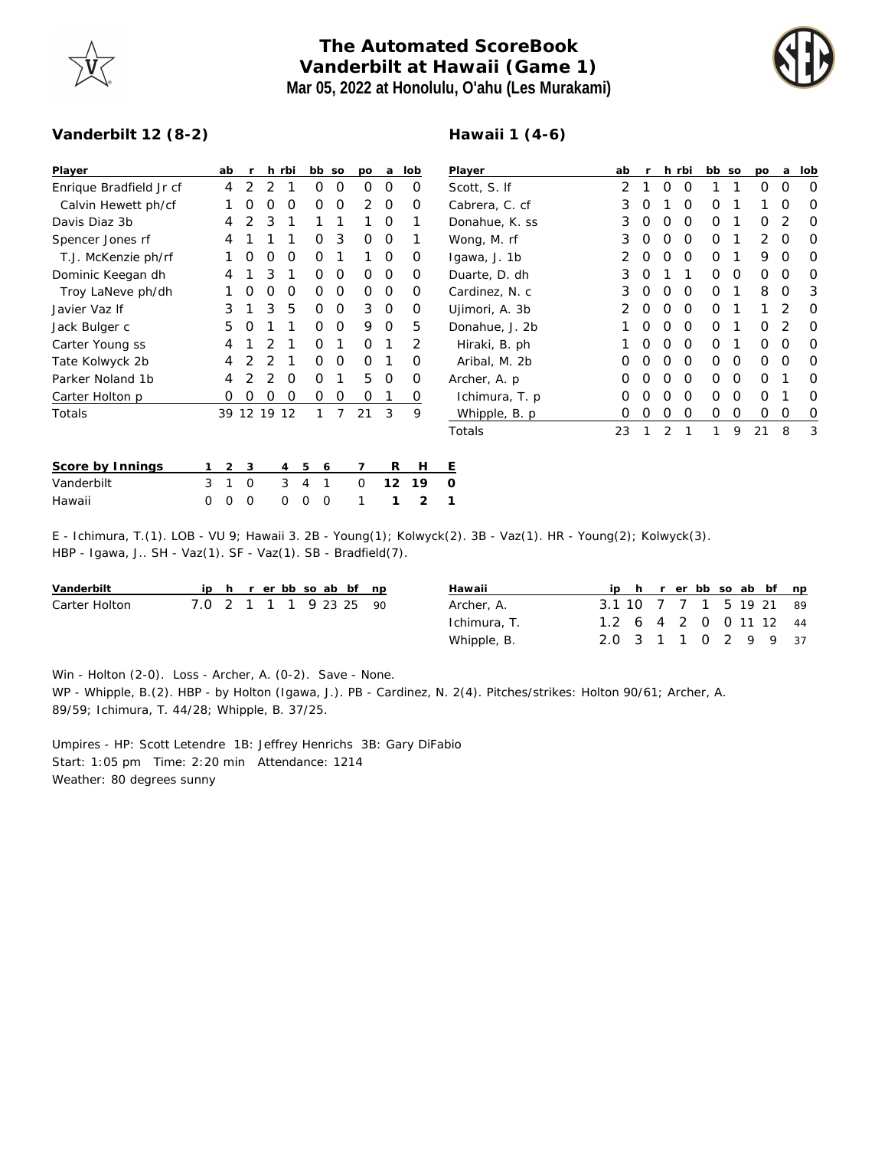## **The Automated ScoreBook Vanderbilt at Hawaii (Game 1) Mar 05, 2022 at Honolulu, O'ahu (Les Murakami)**



## **Vanderbilt 12 (8-2)**

## **Hawaii 1 (4-6)**

| Player                  |   | ab             | <b>r</b> |             | h rbi       |             | bb so | po       | a              | lob      | Player                                                                                                        | ab |          |          | h rbi    | bb so |   | po          | a        | lob            |
|-------------------------|---|----------------|----------|-------------|-------------|-------------|-------|----------|----------------|----------|---------------------------------------------------------------------------------------------------------------|----|----------|----------|----------|-------|---|-------------|----------|----------------|
| Enrique Bradfield Jr cf |   | 4              | 2        | 2           |             | 0           | 0     | $\Omega$ | $\Omega$       | O        | Scott, S. If                                                                                                  | 2  |          | $\Omega$ | $\Omega$ |       |   | $\Omega$    | O        | 0              |
| Calvin Hewett ph/cf     |   |                |          |             | O           | 0           | 0     | 2        | 0              | 0        | Cabrera, C. cf                                                                                                | 3  | O        |          | $\Omega$ | 0     |   |             | O        | 0              |
| Davis Diaz 3b           |   | 4              |          | 3           |             |             |       |          | 0              |          | Donahue, K. ss                                                                                                | 3  | O        | $\Omega$ | $\Omega$ | 0     |   | O           | 2        | 0              |
| Spencer Jones rf        |   | 4              |          |             |             | O.          | 3     | 0        | $\overline{0}$ |          | Wong, M. rf                                                                                                   | 3  | O        | $\Omega$ | $\Omega$ | 0     |   | 2           | O        | 0              |
| T.J. McKenzie ph/rf     |   |                | O        | $\left($    | O           | 0           |       |          | 0              | 0        | Igawa, J. 1b                                                                                                  |    |          | $\Omega$ | $\Omega$ | 0     |   | 9           | O        | O              |
| Dominic Keegan dh       |   | 4              |          | 3           |             | 0           | 0     | 0        | $\circ$        | 0        | Duarte, D. dh                                                                                                 | 3  | O        |          |          | 0     | 0 | 0           | 0        | O              |
| Troy LaNeve ph/dh       |   |                | O        | O           | O           | 0           | 0     | $\Omega$ | $\overline{0}$ | O        | Cardinez, N. c                                                                                                | 3  | O        | $\Omega$ | $\Omega$ | 0     |   | 8           | $\Omega$ | 3              |
| Javier Vaz If           |   | 3              |          | 3           | 5           | 0           | 0     | 3        | 0              | 0        | Ujimori, A. 3b                                                                                                |    |          | $\Omega$ | $\Omega$ | 0     |   |             | 2        | 0              |
| Jack Bulger c           |   | 5              | O        |             |             | 0           | 0     | 9        | 0              | 5        | Donahue, J. 2b                                                                                                |    | $\Omega$ | 0        | $\circ$  | 0     |   | 0           | 2        | 0              |
| Carter Young ss         |   | 4              |          |             |             | O           |       | 0        |                | 2        | Hiraki, B. ph                                                                                                 |    | O        | 0        | 0        | 0     |   | 0           | O        | 0              |
| Tate Kolwyck 2b         |   | 4              |          |             |             | 0           | 0     | $\Omega$ | -1             | O        | Aribal, M. 2b                                                                                                 | Ο  |          | $\Omega$ | 0        | 0     | 0 | $\mathbf 0$ | O        | O              |
| Parker Noland 1b        |   | 4              |          | 2           | $\Omega$    | 0           |       | 5        | 0              | $\Omega$ | Archer, A. p.                                                                                                 | Ο  |          | $\Omega$ | $\Omega$ | 0     | 0 | $\Omega$    |          | O              |
| Carter Holton p         |   | 0              | 0        | $\Omega$    | 0           | 0           | 0     | 0        |                | 0        | Ichimura, T. p.                                                                                               | 0  |          | $\Omega$ | 0        | 0     | 0 | $\Omega$    |          | 0              |
| Totals                  |   |                |          | 39 12 19 12 |             |             | 7     | 21       | 3              | 9        | Whipple, B. p.                                                                                                | 0  | O        | 0        | 0        | 0     | 0 | $\mathbf 0$ | 0        | $\overline{0}$ |
|                         |   |                |          |             |             |             |       |          |                |          | Totals                                                                                                        | 23 |          | 2        |          |       | 9 | 21          | 8        | 3              |
| Score by Innings        |   | $\overline{2}$ | 3        |             | 4           | 5           | 6     | 7        | R              | Н        | Е                                                                                                             |    |          |          |          |       |   |             |          |                |
| Vanderbilt              | 3 |                | 0        |             | 3           | 4           | 1     | 0        | 12             | 19       | $\circ$                                                                                                       |    |          |          |          |       |   |             |          |                |
| Hawaii                  | 0 | 0              | 0        |             | $\mathbf 0$ | $\mathbf 0$ | 0     | 1        | 1              | 2        |                                                                                                               |    |          |          |          |       |   |             |          |                |
|                         |   |                |          |             |             |             |       |          |                |          | E - Ichimura, T.(1). LOB - VU 9; Hawaii 3. 2B - Young(1); Kolwyck(2). 3B - Vaz(1). HR - Young(2); Kolwyck(3). |    |          |          |          |       |   |             |          |                |

HBP - Igawa, J.. SH - Vaz(1). SF - Vaz(1). SB - Bradfield(7).

| Vanderbilt    |                        |  |  |  | ip h r er bb so ab bf np |  | Hawaii       |  |  |  |  | ip h r er bb so ab bf np |
|---------------|------------------------|--|--|--|--------------------------|--|--------------|--|--|--|--|--------------------------|
| Carter Holton | 7.0 2 1 1 1 9 23 25 90 |  |  |  |                          |  | Archer, A.   |  |  |  |  | 3.1 10 7 7 1 5 19 21 89  |
|               |                        |  |  |  |                          |  | Ichimura, T. |  |  |  |  | 1.2 6 4 2 0 0 11 12 44   |
|               |                        |  |  |  |                          |  | Whipple, B.  |  |  |  |  | 2.0 3 1 1 0 2 9 9 37     |

Win - Holton (2-0). Loss - Archer, A. (0-2). Save - None.

WP - Whipple, B.(2). HBP - by Holton (Igawa, J.). PB - Cardinez, N. 2(4). Pitches/strikes: Holton 90/61; Archer, A. 89/59; Ichimura, T. 44/28; Whipple, B. 37/25.

Umpires - HP: Scott Letendre 1B: Jeffrey Henrichs 3B: Gary DiFabio Start: 1:05 pm Time: 2:20 min Attendance: 1214 Weather: 80 degrees sunny